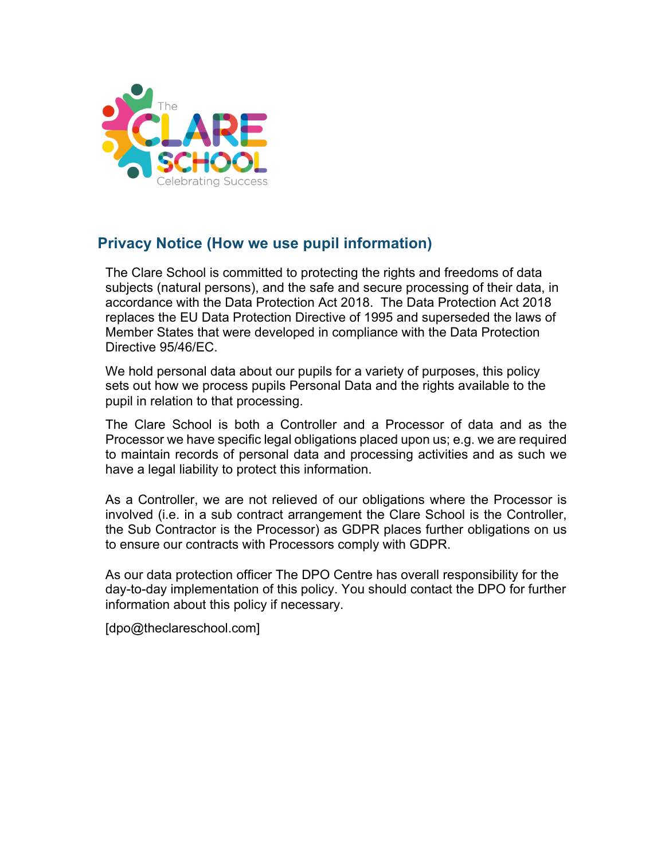

# **Privacy Notice (How we use pupil information)**

The Clare School is committed to protecting the rights and freedoms of data subjects (natural persons), and the safe and secure processing of their data, in accordance with the Data Protection Act 2018. The Data Protection Act 2018 replaces the EU Data Protection Directive of 1995 and superseded the laws of Member States that were developed in compliance with the Data Protection Directive 95/46/EC.

We hold personal data about our pupils for a variety of purposes, this policy sets out how we process pupils Personal Data and the rights available to the pupil in relation to that processing.

The Clare School is both a Controller and a Processor of data and as the Processor we have specific legal obligations placed upon us; e.g. we are required to maintain records of personal data and processing activities and as such we have a legal liability to protect this information.

As a Controller, we are not relieved of our obligations where the Processor is involved (i.e. in a sub contract arrangement the Clare School is the Controller, the Sub Contractor is the Processor) as GDPR places further obligations on us to ensure our contracts with Processors comply with GDPR.

As our data protection officer The DPO Centre has overall responsibility for the day-to-day implementation of this policy. You should contact the DPO for further information about this policy if necessary.

[dpo@theclareschool.com]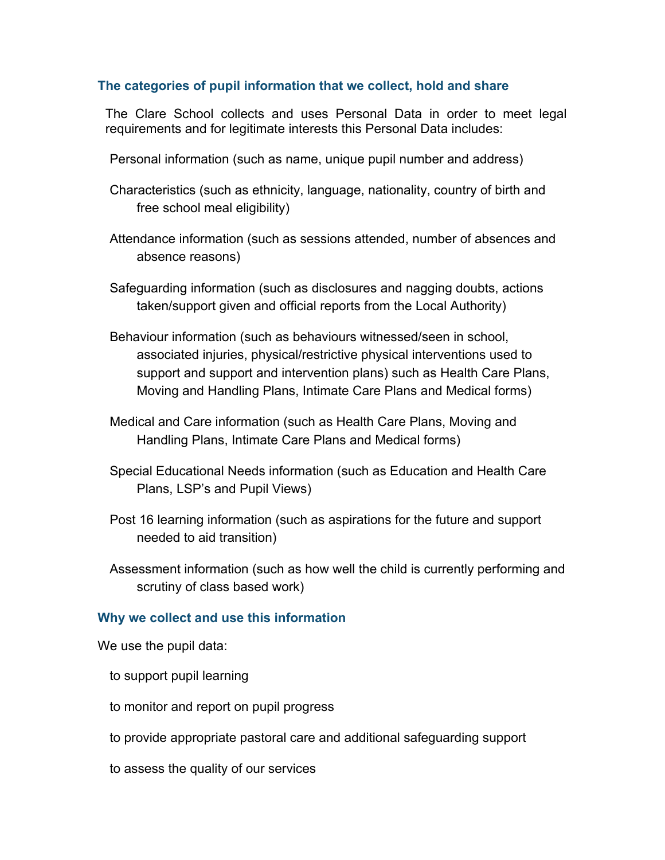#### **The categories of pupil information that we collect, hold and share**

The Clare School collects and uses Personal Data in order to meet legal requirements and for legitimate interests this Personal Data includes:

- Personal information (such as name, unique pupil number and address)
- Characteristics (such as ethnicity, language, nationality, country of birth and free school meal eligibility)
- Attendance information (such as sessions attended, number of absences and absence reasons)
- Safeguarding information (such as disclosures and nagging doubts, actions taken/support given and official reports from the Local Authority)
- Behaviour information (such as behaviours witnessed/seen in school, associated injuries, physical/restrictive physical interventions used to support and support and intervention plans) such as Health Care Plans, Moving and Handling Plans, Intimate Care Plans and Medical forms)
- Medical and Care information (such as Health Care Plans, Moving and Handling Plans, Intimate Care Plans and Medical forms)
- Special Educational Needs information (such as Education and Health Care Plans, LSP's and Pupil Views)
- Post 16 learning information (such as aspirations for the future and support needed to aid transition)
- Assessment information (such as how well the child is currently performing and scrutiny of class based work)

#### **Why we collect and use this information**

We use the pupil data:

- to support pupil learning
- to monitor and report on pupil progress
- to provide appropriate pastoral care and additional safeguarding support
- to assess the quality of our services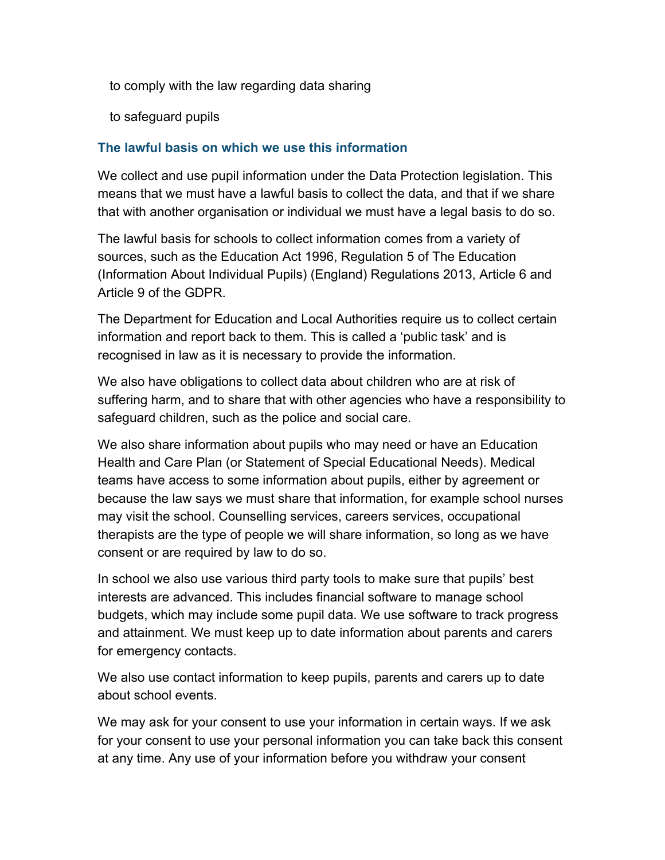- to comply with the law regarding data sharing
- to safeguard pupils

## **The lawful basis on which we use this information**

We collect and use pupil information under the Data Protection legislation. This means that we must have a lawful basis to collect the data, and that if we share that with another organisation or individual we must have a legal basis to do so.

The lawful basis for schools to collect information comes from a variety of sources, such as the Education Act 1996, Regulation 5 of The Education (Information About Individual Pupils) (England) Regulations 2013, Article 6 and Article 9 of the GDPR.

The Department for Education and Local Authorities require us to collect certain information and report back to them. This is called a 'public task' and is recognised in law as it is necessary to provide the information.

We also have obligations to collect data about children who are at risk of suffering harm, and to share that with other agencies who have a responsibility to safeguard children, such as the police and social care.

We also share information about pupils who may need or have an Education Health and Care Plan (or Statement of Special Educational Needs). Medical teams have access to some information about pupils, either by agreement or because the law says we must share that information, for example school nurses may visit the school. Counselling services, careers services, occupational therapists are the type of people we will share information, so long as we have consent or are required by law to do so.

In school we also use various third party tools to make sure that pupils' best interests are advanced. This includes financial software to manage school budgets, which may include some pupil data. We use software to track progress and attainment. We must keep up to date information about parents and carers for emergency contacts.

We also use contact information to keep pupils, parents and carers up to date about school events.

We may ask for your consent to use your information in certain ways. If we ask for your consent to use your personal information you can take back this consent at any time. Any use of your information before you withdraw your consent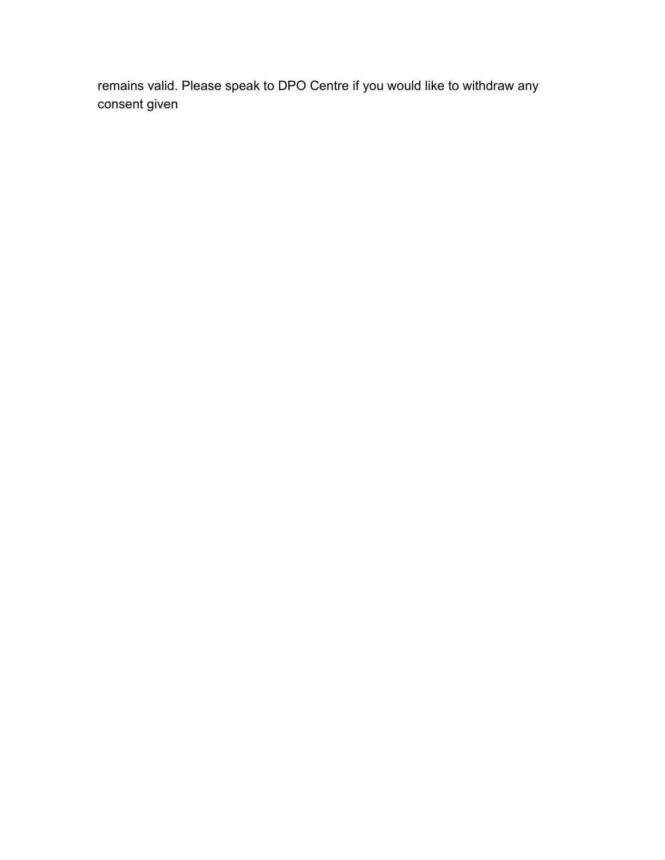remains valid. Please speak to DPO Centre if you would like to withdraw any consent given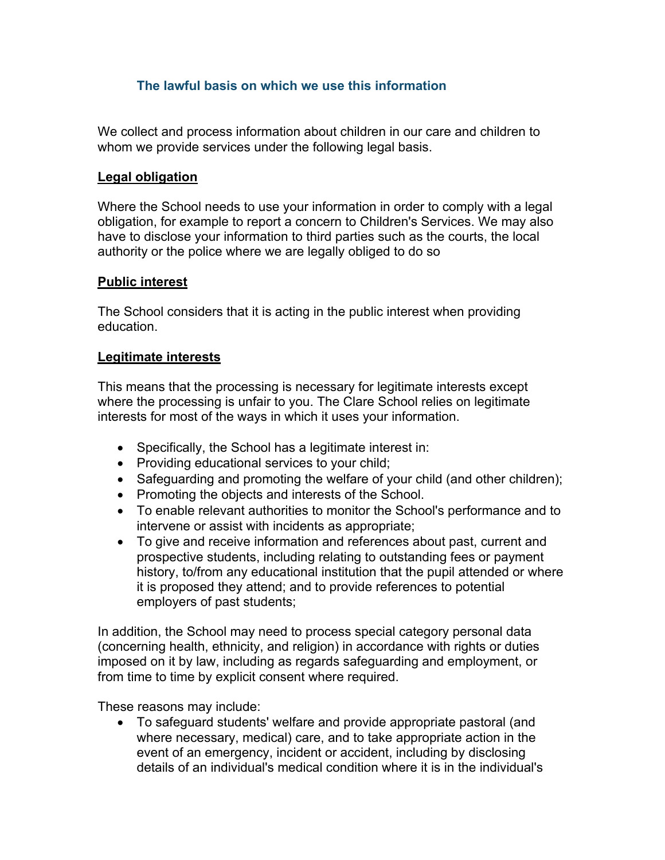### **The lawful basis on which we use this information**

We collect and process information about children in our care and children to whom we provide services under the following legal basis.

#### **Legal obligation**

Where the School needs to use your information in order to comply with a legal obligation, for example to report a concern to Children's Services. We may also have to disclose your information to third parties such as the courts, the local authority or the police where we are legally obliged to do so

#### **Public interest**

The School considers that it is acting in the public interest when providing education.

### **Legitimate interests**

This means that the processing is necessary for legitimate interests except where the processing is unfair to you. The Clare School relies on legitimate interests for most of the ways in which it uses your information.

- Specifically, the School has a legitimate interest in:
- Providing educational services to your child;
- Safeguarding and promoting the welfare of your child (and other children);
- Promoting the objects and interests of the School.
- To enable relevant authorities to monitor the School's performance and to intervene or assist with incidents as appropriate;
- To give and receive information and references about past, current and prospective students, including relating to outstanding fees or payment history, to/from any educational institution that the pupil attended or where it is proposed they attend; and to provide references to potential employers of past students;

In addition, the School may need to process special category personal data (concerning health, ethnicity, and religion) in accordance with rights or duties imposed on it by law, including as regards safeguarding and employment, or from time to time by explicit consent where required.

These reasons may include:

• To safeguard students' welfare and provide appropriate pastoral (and where necessary, medical) care, and to take appropriate action in the event of an emergency, incident or accident, including by disclosing details of an individual's medical condition where it is in the individual's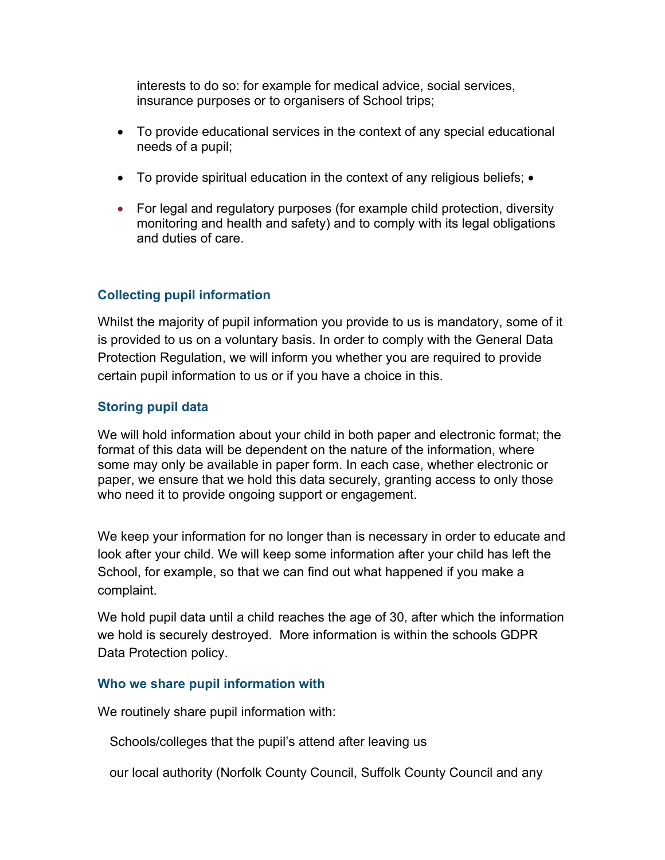interests to do so: for example for medical advice, social services, insurance purposes or to organisers of School trips;

- To provide educational services in the context of any special educational needs of a pupil;
- To provide spiritual education in the context of any religious beliefs; •
- For legal and regulatory purposes (for example child protection, diversity monitoring and health and safety) and to comply with its legal obligations and duties of care.

## **Collecting pupil information**

Whilst the majority of pupil information you provide to us is mandatory, some of it is provided to us on a voluntary basis. In order to comply with the General Data Protection Regulation, we will inform you whether you are required to provide certain pupil information to us or if you have a choice in this.

### **Storing pupil data**

We will hold information about your child in both paper and electronic format; the format of this data will be dependent on the nature of the information, where some may only be available in paper form. In each case, whether electronic or paper, we ensure that we hold this data securely, granting access to only those who need it to provide ongoing support or engagement.

We keep your information for no longer than is necessary in order to educate and look after your child. We will keep some information after your child has left the School, for example, so that we can find out what happened if you make a complaint.

We hold pupil data until a child reaches the age of 30, after which the information we hold is securely destroyed. More information is within the schools GDPR Data Protection policy.

#### **Who we share pupil information with**

We routinely share pupil information with:

Schools/colleges that the pupil's attend after leaving us

our local authority (Norfolk County Council, Suffolk County Council and any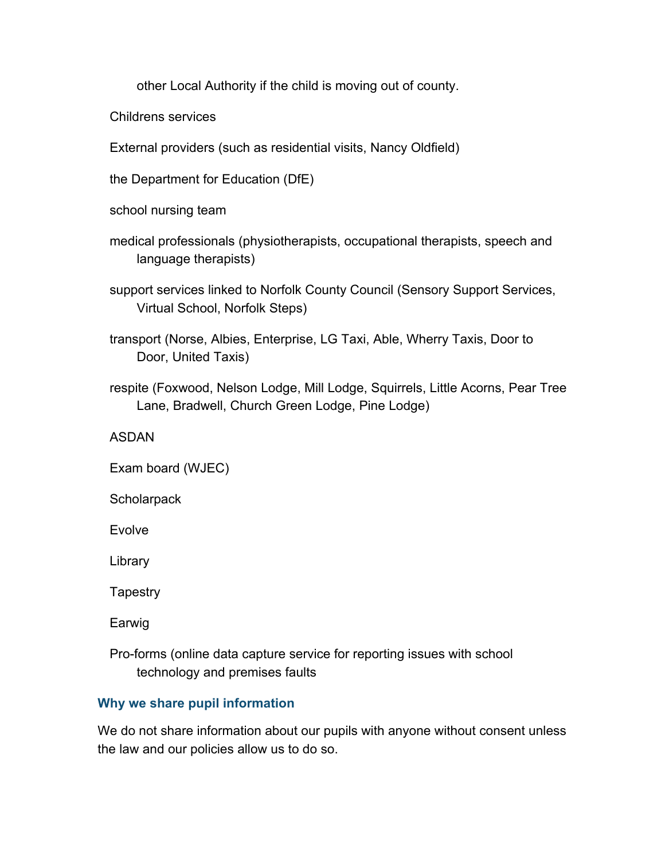other Local Authority if the child is moving out of county.

Childrens services

External providers (such as residential visits, Nancy Oldfield)

the Department for Education (DfE)

school nursing team

- medical professionals (physiotherapists, occupational therapists, speech and language therapists)
- support services linked to Norfolk County Council (Sensory Support Services, Virtual School, Norfolk Steps)
- transport (Norse, Albies, Enterprise, LG Taxi, Able, Wherry Taxis, Door to Door, United Taxis)
- respite (Foxwood, Nelson Lodge, Mill Lodge, Squirrels, Little Acorns, Pear Tree Lane, Bradwell, Church Green Lodge, Pine Lodge)

#### ASDAN

Exam board (WJEC)

**Scholarpack** 

Evolve

Library

**Tapestry** 

Earwig

 Pro-forms (online data capture service for reporting issues with school technology and premises faults

### **Why we share pupil information**

We do not share information about our pupils with anyone without consent unless the law and our policies allow us to do so.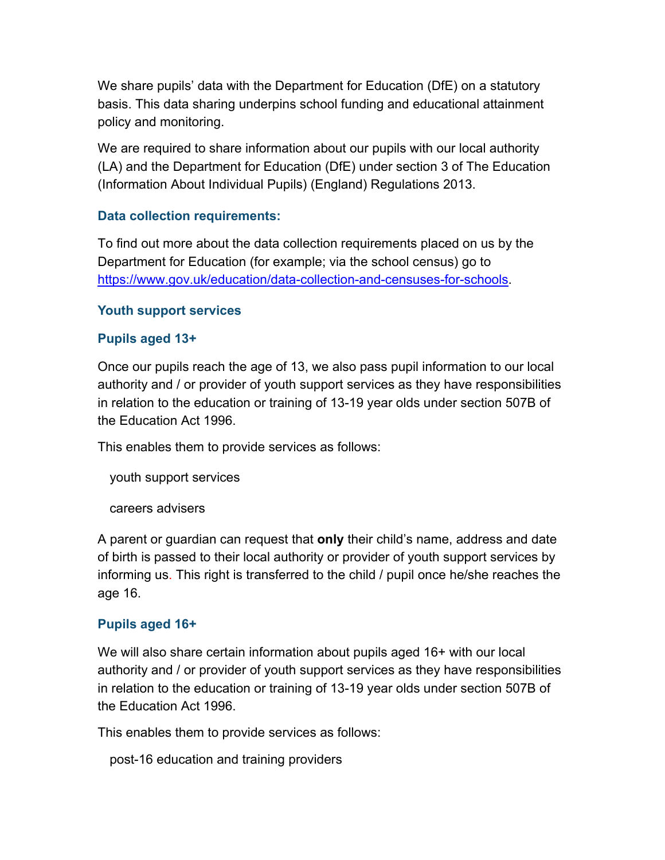We share pupils' data with the Department for Education (DfE) on a statutory basis. This data sharing underpins school funding and educational attainment policy and monitoring.

We are required to share information about our pupils with our local authority (LA) and the Department for Education (DfE) under section 3 of The Education (Information About Individual Pupils) (England) Regulations 2013.

### **Data collection requirements:**

To find out more about the data collection requirements placed on us by the Department for Education (for example; via the school census) go to https://www.gov.uk/education/data-collection-and-censuses-for-schools.

#### **Youth support services**

### **Pupils aged 13+**

Once our pupils reach the age of 13, we also pass pupil information to our local authority and / or provider of youth support services as they have responsibilities in relation to the education or training of 13-19 year olds under section 507B of the Education Act 1996.

This enables them to provide services as follows:

youth support services

careers advisers

A parent or guardian can request that **only** their child's name, address and date of birth is passed to their local authority or provider of youth support services by informing us. This right is transferred to the child / pupil once he/she reaches the age 16.

### **Pupils aged 16+**

We will also share certain information about pupils aged 16+ with our local authority and / or provider of youth support services as they have responsibilities in relation to the education or training of 13-19 year olds under section 507B of the Education Act 1996.

This enables them to provide services as follows:

post-16 education and training providers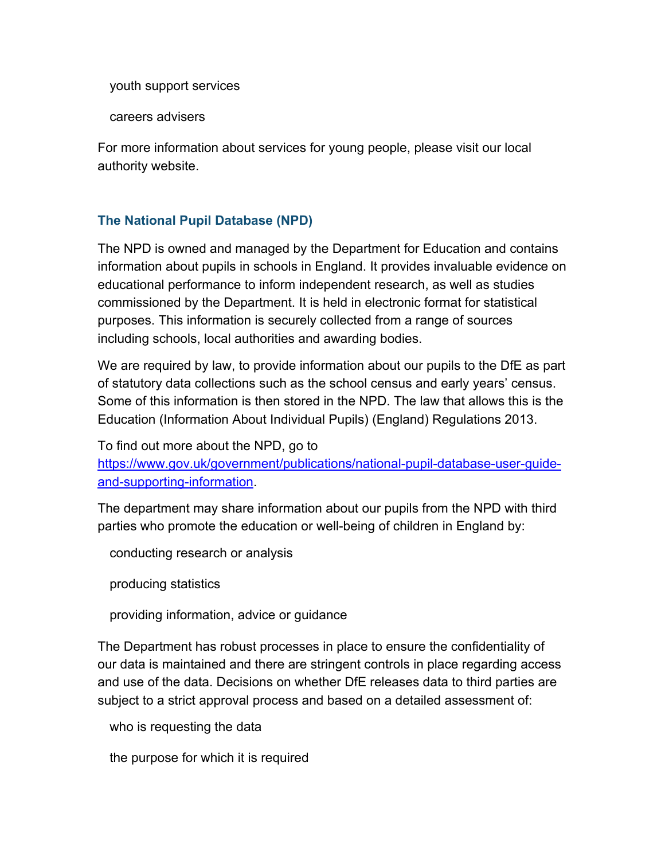youth support services

careers advisers

For more information about services for young people, please visit our local authority website.

### **The National Pupil Database (NPD)**

The NPD is owned and managed by the Department for Education and contains information about pupils in schools in England. It provides invaluable evidence on educational performance to inform independent research, as well as studies commissioned by the Department. It is held in electronic format for statistical purposes. This information is securely collected from a range of sources including schools, local authorities and awarding bodies.

We are required by law, to provide information about our pupils to the DfE as part of statutory data collections such as the school census and early years' census. Some of this information is then stored in the NPD. The law that allows this is the Education (Information About Individual Pupils) (England) Regulations 2013.

To find out more about the NPD, go to

https://www.gov.uk/government/publications/national-pupil-database-user-guideand-supporting-information.

The department may share information about our pupils from the NPD with third parties who promote the education or well-being of children in England by:

conducting research or analysis

producing statistics

providing information, advice or guidance

The Department has robust processes in place to ensure the confidentiality of our data is maintained and there are stringent controls in place regarding access and use of the data. Decisions on whether DfE releases data to third parties are subject to a strict approval process and based on a detailed assessment of:

who is requesting the data

the purpose for which it is required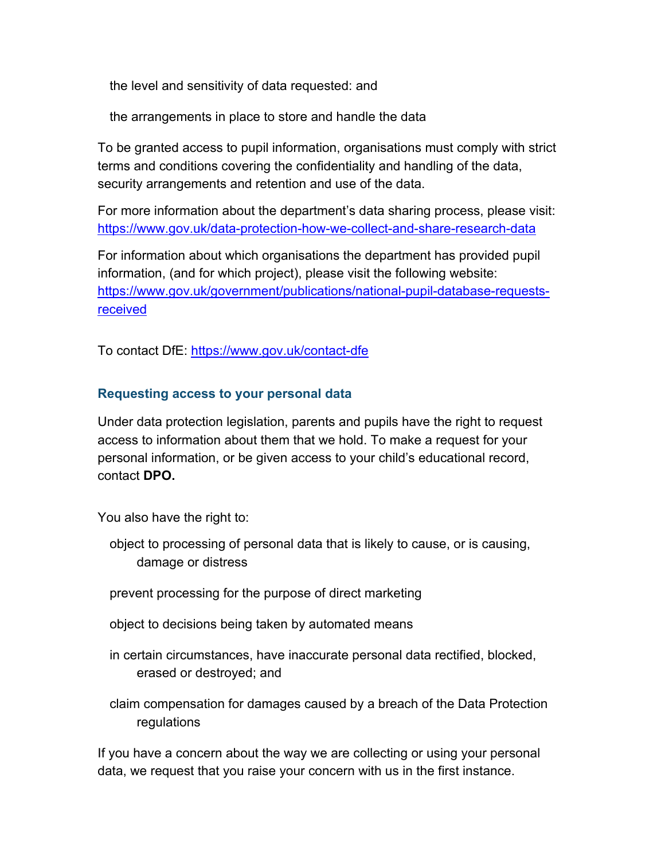the level and sensitivity of data requested: and

the arrangements in place to store and handle the data

To be granted access to pupil information, organisations must comply with strict terms and conditions covering the confidentiality and handling of the data, security arrangements and retention and use of the data.

For more information about the department's data sharing process, please visit: https://www.gov.uk/data-protection-how-we-collect-and-share-research-data

For information about which organisations the department has provided pupil information, (and for which project), please visit the following website: https://www.gov.uk/government/publications/national-pupil-database-requestsreceived

To contact DfE: https://www.gov.uk/contact-dfe

### **Requesting access to your personal data**

Under data protection legislation, parents and pupils have the right to request access to information about them that we hold. To make a request for your personal information, or be given access to your child's educational record, contact **DPO.**

You also have the right to:

- object to processing of personal data that is likely to cause, or is causing, damage or distress
- prevent processing for the purpose of direct marketing
- object to decisions being taken by automated means
- in certain circumstances, have inaccurate personal data rectified, blocked, erased or destroyed; and
- claim compensation for damages caused by a breach of the Data Protection regulations

If you have a concern about the way we are collecting or using your personal data, we request that you raise your concern with us in the first instance.